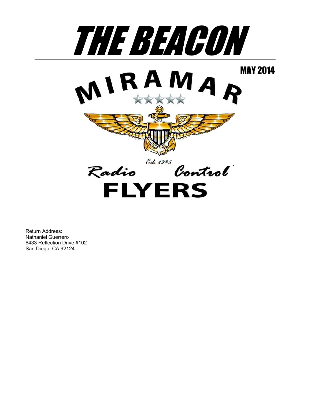

Return Address: Nathaniel Guerrero 6433 Reflection Drive #102 San Diego, CA 92124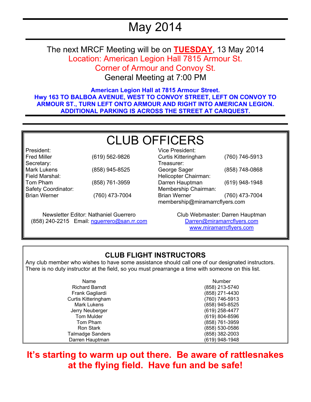# May 2014

The next MRCF Meeting will be on **TUESDAY**, 13 May 2014 Location: American Legion Hall 7815 Armour St. Corner of Armour and Convoy St.

General Meeting at 7:00 PM

**American Legion Hall at 7815 Armour Street. Hwy 163 TO BALBOA AVENUE, WEST TO CONVOY STREET, LEFT ON CONVOY TO ARMOUR ST., TURN LEFT ONTO ARMOUR AND RIGHT INTO AMERICAN LEGION. ADDITIONAL PARKING IS ACROSS THE STREET AT CARQUEST.** 

# CLUB OFFICERS

| President:          |                |
|---------------------|----------------|
| <b>Fred Miller</b>  | (619) 562-9826 |
| Secretary:          |                |
| <b>Mark Lukens</b>  | (858) 945-8525 |
| Field Marshal:      |                |
| Tom Pham            | (858) 761-3959 |
| Safety Coordinator: |                |
| <b>Brian Werner</b> | (760) 473-7004 |
|                     |                |

Newsletter Editor: Nathaniel Guerrero (858) 240-2215 Email: nguerrero@san.rr.com

Vice President: Curtis Kitteringham (760) 746-5913 Treasurer: George Sager (858) 748-0868 Helicopter Chairman: Darren Hauptman (619) 948-1948 Membership Chairman: Brian Werner (760) 473-7004 membership@miramarrcflyers.com

> Club Webmaster: Darren Hauptman Darren@miramarrcflyers.com www.miramarrcflyers.com

### **CLUB FLIGHT INSTRUCTORS**

Any club member who wishes to have some assistance should call one of our designated instructors. There is no duty instructor at the field, so you must prearrange a time with someone on this list.

| Name                    | Number         |
|-------------------------|----------------|
| <b>Richard Barndt</b>   | (858) 213-5740 |
| Frank Gagliardi         | (858) 271-4430 |
| Curtis Kitteringham     | (760) 746-5913 |
| Mark Lukens             | (858) 945-8525 |
| Jerry Neuberger         | (619) 258-4477 |
| <b>Tom Mulder</b>       | (619) 804-8596 |
| Tom Pham                | (858) 761-3959 |
| Ron Stark               | (858) 530-0586 |
| <b>Talmadge Sanders</b> | (858) 382-2003 |
| Darren Hauptman         | (619) 948-1948 |

## **It's starting to warm up out there. Be aware of rattlesnakes at the flying field. Have fun and be safe!**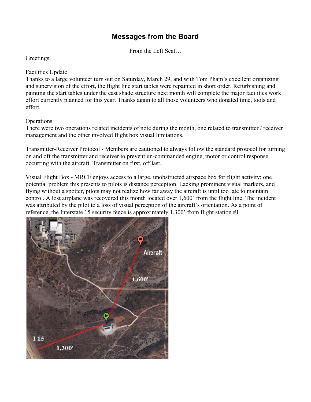### **Messages from the Board**

From the Left Seat…

Greetings,

#### Facilities Update

Thanks to a large volunteer turn out on Saturday, March 29, and with Tom Pham's excellent organizing and supervision of the effort, the flight line start tables were repainted in short order. Refurbishing and painting the start tables under the east shade structure next month will complete the major facilities work effort currently planned for this year. Thanks again to all those volunteers who donated time, tools and effort.

#### **Operations**

There were two operations related incidents of note during the month, one related to transmitter / receiver management and the other involved flight box visual limitations.

Transmitter-Receiver Protocol - Members are cautioned to always follow the standard protocol for turning on and off the transmitter and receiver to prevent un-commanded engine, motor or control response occurring with the aircraft. Transmitter on first, off last.

Visual Flight Box - MRCF enjoys access to a large, unobstructed airspace box for flight activity; one potential problem this presents to pilots is distance perception. Lacking prominent visual markers, and flying without a spotter, pilots may not realize how far away the aircraft is until too late to maintain control. A lost airplane was recovered this month located over 1,600' from the flight line. The incident was attributed by the pilot to a loss of visual perception of the aircraft's orientation. As a point of reference, the Interstate 15 security fence is approximately 1,300' from flight station #1.

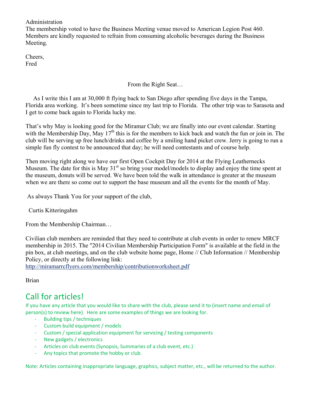#### Administration

The membership voted to have the Business Meeting venue moved to American Legion Post 460. Members are kindly requested to refrain from consuming alcoholic beverages during the Business Meeting.

Cheers, Fred

#### From the Right Seat…

 As I write this I am at 30,000 ft flying back to San Diego after spending five days in the Tampa, Florida area working. It's been sometime since my last trip to Florida. The other trip was to Sarasota and I get to come back again to Florida lucky me.

That's why May is looking good for the Miramar Club; we are finally into our event calendar. Starting with the Membership Day, May  $17<sup>th</sup>$  this is for the members to kick back and watch the fun or join in. The club will be serving up free lunch/drinks and coffee by a smiling hand picket crew. Jerry is going to run a simple fun fly contest to be announced that day; he will need contestants and of course help.

Then moving right along we have our first Open Cockpit Day for 2014 at the Flying Leathernecks Museum. The date for this is May  $31<sup>st</sup>$  so bring your model/models to display and enjoy the time spent at the museum, donuts will be served. We have been told the walk in attendance is greater at the museum when we are there so come out to support the base museum and all the events for the month of May.

As always Thank You for your support of the club,

Curtis Kitteringahm

From the Membership Chairman…

Civilian club members are reminded that they need to contribute at club events in order to renew MRCF membership in 2015. The "2014 Civilian Membership Participation Form" is available at the field in the pin box, at club meetings, and on the club website home page, Home // Club Information // Membership Policy, or directly at the following link:

http://miramarrcflyers.com/membership/contributionworksheet.pdf

Brian

## Call for articles!

If you have any article that you would like to share with the club, please send it to (insert name and email of  $person(s)$  to review here). Here are some examples of things we are looking for.

- Building tips / techniques
- Custom build equipment / models
- Custom / special application equipment for servicing / testing components
- New gadgets / electronics
- Articles on club events (Synopsis, Summaries of a club event, etc.)
- Any topics that promote the hobby or club.

Note: Articles containing inappropriate language, graphics, subject matter, etc., will be returned to the author.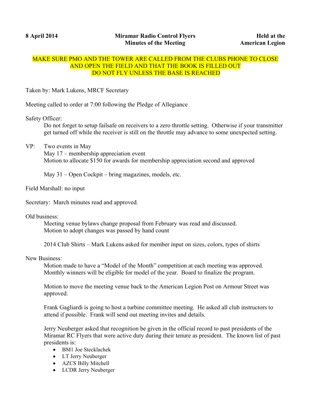#### MAKE SURE PMO AND THE TOWER ARE CALLED FROM THE CLUBS PHONE TO CLOSE AND OPEN THE FIELD AND THAT THE BOOK IS FILLED OUT DO NOT FLY UNLESS THE BASE IS REACHED

Taken by: Mark Lukens, MRCF Secretary

Meeting called to order at 7:00 following the Pledge of Allegiance

Safety Officer:

Do not forget to setup failsafe on receivers to a zero throttle setting. Otherwise if your transmitter get turned off while the receiver is still on the throttle may advance to some unexpected setting.

VP: Two events in May

May 17 – membership appreciation event Motion to allocate \$150 for awards for membership appreciation second and approved

May 31 – Open Cockpit – bring magazines, models, etc.

Field Marshall: no input

Secretary: March minutes read and approved.

Old business:

Meeting venue bylaws change proposal from February was read and discussed. Motion to adopt changes was passed by hand count

2014 Club Shirts – Mark Lukens asked for member input on sizes, colors, types of shirts

New Business:

Motion made to have a "Model of the Month" competition at each meeting was approved. Monthly winners will be eligible for model of the year. Board to finalize the program.

Motion to move the meeting venue back to the American Legion Post on Armour Street was approved.

Frank Gagliardi is going to host a turbine committee meeting. He asked all club instructors to attend if possible. Frank will send out meeting invites and details.

Jerry Neuberger asked that recognition be given in the official record to past presidents of the Miramar RC Flyers that were active duty during their tenure as president. The known list of past presidents is:

- BM1 Joe Stecklachek
- LT Jerry Neuberger
- AZCS Billy Mitchell
- LCDR Jerry Neuberger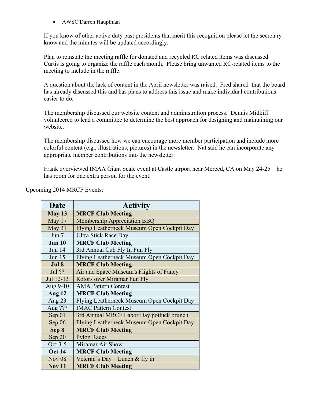• AWSC Darren Hauptman

If you know of other active duty past presidents that merit this recognition please let the secretary know and the minutes will be updated accordingly.

Plan to reinstate the meeting raffle for donated and recycled RC related items was discussed. Curtis is going to organize the raffle each month. Please bring unwanted RC-related items to the meeting to include in the raffle.

A question about the lack of content in the April newsletter was raised. Fred shared that the board has already discussed this and has plans to address this issue and make individual contributions easier to do.

The membership discussed our website content and administration process. Dennis Midkiff volunteered to lead a committee to determine the best approach for designing and maintaining our website.

The membership discussed how we can encourage more member participation and include more colorful content (e.g., illustrations, pictures) in the newsletter. Nat said he can incorporate any appropriate member contributions into the newsletter.

Frank overviewed IMAA Giant Scale event at Castle airport near Merced, CA on May 24-25 – he has room for one extra person for the event.

| Date          | <b>Activity</b>                            |
|---------------|--------------------------------------------|
| May 13        | <b>MRCF Club Meeting</b>                   |
| May 17        | <b>Membership Appreciation BBQ</b>         |
| May 31        | Flying Leatherneck Museum Open Cockpit Day |
| Jun $7$       | <b>Ultra Stick Race Day</b>                |
| <b>Jun 10</b> | <b>MRCF Club Meeting</b>                   |
| <b>Jun 14</b> | 3rd Annual Cub Fly In Fun Fly              |
| <b>Jun 15</b> | Flying Leatherneck Museum Open Cockpit Day |
| Jul 8         | <b>MRCF Club Meeting</b>                   |
| Jul ??        | Air and Space Museum's Flights of Fancy    |
| Jul 12-13     | Rotors over Miramar Fun Fly                |
| Aug 9-10      | <b>AMA Pattern Contest</b>                 |
| <b>Aug 12</b> | <b>MRCF Club Meeting</b>                   |
| Aug $23$      | Flying Leatherneck Museum Open Cockpit Day |
| Aug ???       | <b>IMAC Pattern Contest</b>                |
| Sep 01        | 3rd Annual MRCF Labor Day potluck brunch   |
| Sep $06$      | Flying Leatherneck Museum Open Cockpit Day |
| Sep 8         | <b>MRCF Club Meeting</b>                   |
| Sep 20        | <b>Pylon Races</b>                         |
| Oct 3-5       | Miramar Air Show                           |
| <b>Oct 14</b> | <b>MRCF Club Meeting</b>                   |
| <b>Nov 08</b> | Veteran's Day – Lunch & fly in             |
| <b>Nov 11</b> | <b>MRCF Club Meeting</b>                   |

Upcoming 2014 MRCF Events: